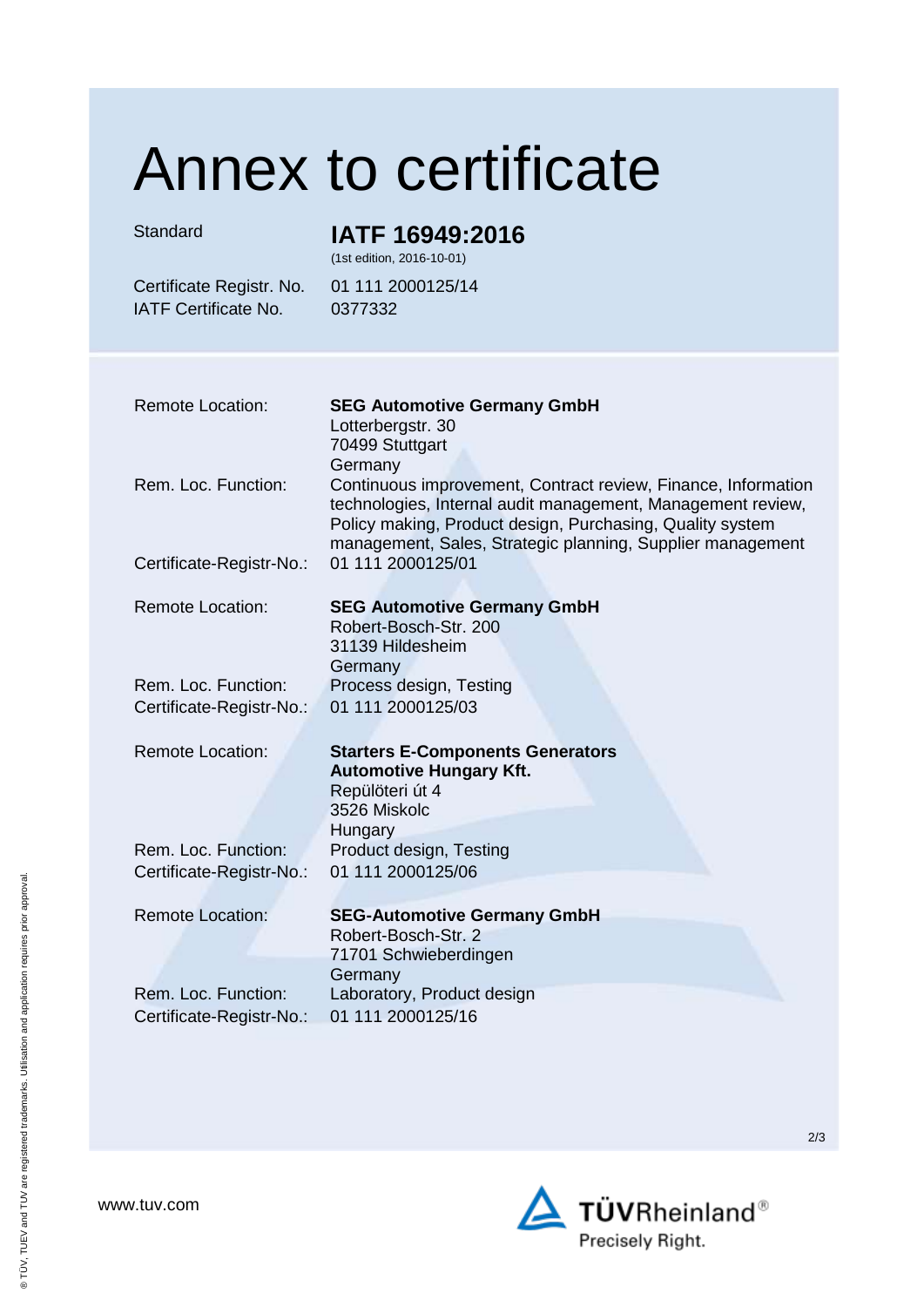## Annex to certificate

## Standard **IATF 16949:2016**

(1st edition, 2016-10-01)

IATF Certificate No. 0377332

Certificate Registr. No. 01 111 2000125/14

| <b>Remote Location:</b>  | <b>SEG Automotive Germany GmbH</b><br>Lotterbergstr. 30<br>70499 Stuttgart<br>Germany                                                                                                                                                                   |
|--------------------------|---------------------------------------------------------------------------------------------------------------------------------------------------------------------------------------------------------------------------------------------------------|
| Rem. Loc. Function:      | Continuous improvement, Contract review, Finance, Information<br>technologies, Internal audit management, Management review,<br>Policy making, Product design, Purchasing, Quality system<br>management, Sales, Strategic planning, Supplier management |
| Certificate-Registr-No.: | 01 111 2000125/01                                                                                                                                                                                                                                       |
| <b>Remote Location:</b>  | <b>SEG Automotive Germany GmbH</b><br>Robert-Bosch-Str. 200<br>31139 Hildesheim<br>Germany                                                                                                                                                              |
| Rem. Loc. Function:      | Process design, Testing                                                                                                                                                                                                                                 |
| Certificate-Registr-No.: | 01 111 2000125/03                                                                                                                                                                                                                                       |
| <b>Remote Location:</b>  | <b>Starters E-Components Generators</b><br><b>Automotive Hungary Kft.</b><br>Repülöteri út 4<br>3526 Miskolc<br><b>Hungary</b>                                                                                                                          |
| Rem. Loc. Function:      | Product design, Testing                                                                                                                                                                                                                                 |
| Certificate-Registr-No.: | 01 111 2000125/06                                                                                                                                                                                                                                       |
| <b>Remote Location:</b>  | <b>SEG-Automotive Germany GmbH</b><br>Robert-Bosch-Str. 2<br>71701 Schwieberdingen<br>Germany                                                                                                                                                           |
| Rem. Loc. Function:      | Laboratory, Product design                                                                                                                                                                                                                              |
| Certificate-Registr-No.: | 01 111 2000125/16                                                                                                                                                                                                                                       |

www.tuv.com



2/3